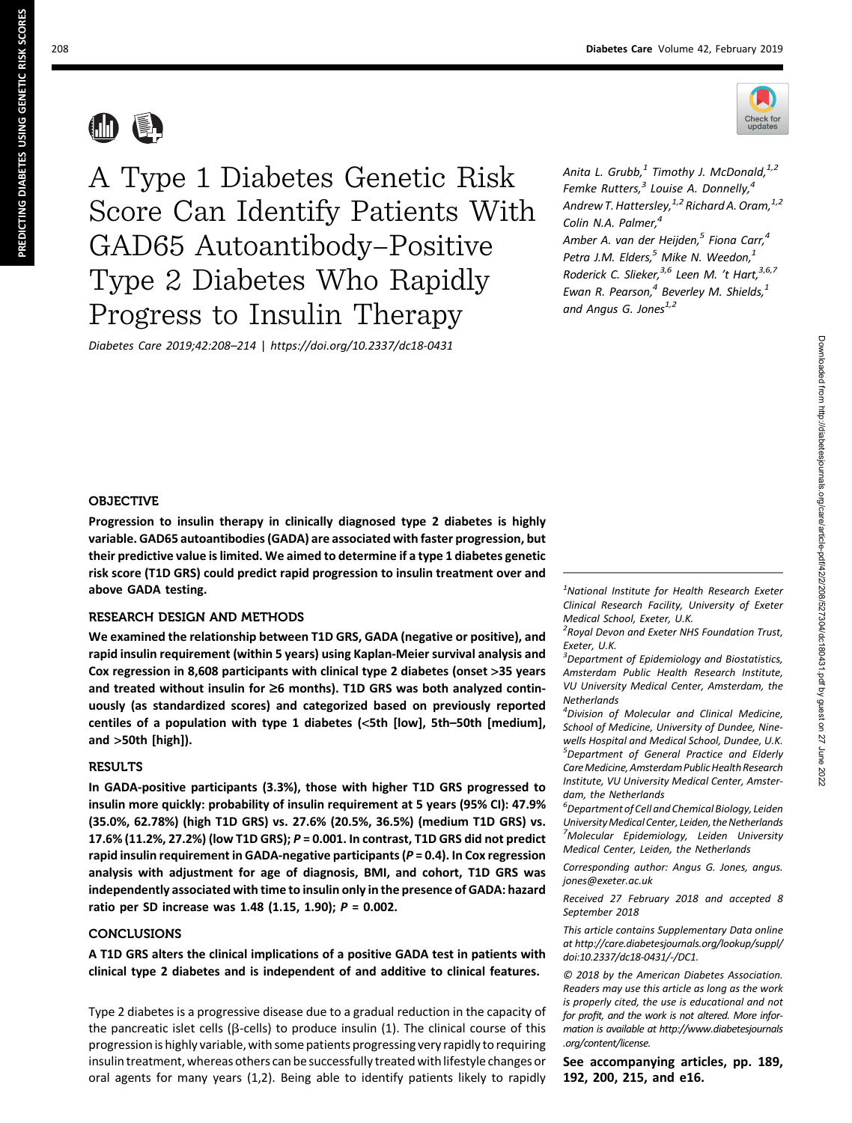

仙县

A Type 1 Diabetes Genetic Risk Score Can Identify Patients With GAD65 Autoantibody–Positive Type 2 Diabetes Who Rapidly Progress to Insulin Therapy

Diabetes Care 2019;42:208–214 | <https://doi.org/10.2337/dc18-0431>

Anita L. Grubb, $^1$  Timothy J. McDonald, $^{1,2}$ Femke Rutters, $<sup>3</sup>$  Louise A. Donnelly, $<sup>4</sup>$ </sup></sup> Andrew T. Hattersley,  $1/2$  Richard A. Oram,  $1/2$ Colin N.A. Palmer,<sup>4</sup> Amber A. van der Heijden, $^5$  Fiona Carr, $^4$ Petra J.M. Elders, $<sup>5</sup>$  Mike N. Weedon, $<sup>1</sup>$ </sup></sup>

Roderick C. Slieker,<sup>3,6</sup> Leen M. 't Hart,<sup>3,6,7</sup> Ewan R. Pearson, $<sup>4</sup>$  Beverley M. Shields, $<sup>1</sup>$ </sup></sup> and Angus G. Jones $^{1,2}$ 

### **OBJECTIVE**

Progression to insulin therapy in clinically diagnosed type 2 diabetes is highly variable. GAD65 autoantibodies (GADA) are associated with faster progression, but their predictive value is limited. We aimed to determine if a type 1 diabetes genetic risk score (T1D GRS) could predict rapid progression to insulin treatment over and above GADA testing.

# RESEARCH DESIGN AND METHODS

We examined the relationship between T1D GRS, GADA (negative or positive), and rapid insulin requirement (within 5 years) using Kaplan-Meier survival analysis and Cox regression in 8,608 participants with clinical type 2 diabetes (onset >35 years and treated without insulin for  $\geq 6$  months). T1D GRS was both analyzed continuously (as standardized scores) and categorized based on previously reported centiles of a population with type 1 diabetes (<5th [low], 5th–50th [medium], and >50th [high]).

#### RESULTS

In GADA-positive participants (3.3%), those with higher T1D GRS progressed to insulin more quickly: probability of insulin requirement at 5 years (95% CI): 47.9% (35.0%, 62.78%) (high T1D GRS) vs. 27.6% (20.5%, 36.5%) (medium T1D GRS) vs. 17.6% (11.2%, 27.2%) (low T1D GRS); P = 0.001. In contrast, T1D GRS did not predict rapid insulin requirement in GADA-negative participants ( $P = 0.4$ ). In Cox regression analysis with adjustment for age of diagnosis, BMI, and cohort, T1D GRS was independently associated with time to insulin only in the presence of GADA: hazard ratio per SD increase was 1.48 (1.15, 1.90); P = 0.002.

## CONCLUSIONS

A T1D GRS alters the clinical implications of a positive GADA test in patients with clinical type 2 diabetes and is independent of and additive to clinical features.

Type 2 diabetes is a progressive disease due to a gradual reduction in the capacity of the pancreatic islet cells ( $\beta$ -cells) to produce insulin (1). The clinical course of this progression is highly variable, with some patients progressing very rapidly to requiring insulin treatment, whereas others can be successfully treated with lifestyle changes or oral agents for many years (1,2). Being able to identify patients likely to rapidly

 $<sup>1</sup>$ National Institute for Health Research Exeter</sup> Clinical Research Facility, University of Exeter Medical School, Exeter, U.K.

<sup>2</sup> Royal Devon and Exeter NHS Foundation Trust, Exeter, U.K.

 $3$ Department of Epidemiology and Biostatistics, Amsterdam Public Health Research Institute, VU University Medical Center, Amsterdam, the **Netherlands** 

<sup>4</sup> Division of Molecular and Clinical Medicine, School of Medicine, University of Dundee, Ninewells Hospital and Medical School, Dundee, U.K. <sup>5</sup>Department of General Practice and Elderly Care Medicine, Amsterdam Public Health Research Institute, VU University Medical Center, Amsterdam, the Netherlands

 $^6$ Department of Cell and Chemical Biology, Leiden UniversityMedical Center, Leiden, the Netherlands <sup>7</sup>Molecular Epidemiology, Leiden University Medical Center, Leiden, the Netherlands

Corresponding author: Angus G. Jones, [angus.](mailto:angus.jones@exeter.ac.uk) [jones@exeter.ac.uk](mailto:angus.jones@exeter.ac.uk)

Received 27 February 2018 and accepted 8 September 2018

This article contains Supplementary Data online at [http://care.diabetesjournals.org/lookup/suppl/](http://care.diabetesjournals.org/lookup/suppl/doi:10.2337/dc18-0431/-/DC1) [doi:10.2337/dc18-0431/-/DC1](http://care.diabetesjournals.org/lookup/suppl/doi:10.2337/dc18-0431/-/DC1).

© 2018 by the American Diabetes Association. Readers may use this article as long as the work is properly cited, the use is educational and not for profit, and the work is not altered. More information is available at [http://www.diabetesjournals](http://www.diabetesjournals.org/content/license) [.org/content/license.](http://www.diabetesjournals.org/content/license)

See accompanying articles, pp. 189, 192, 200, 215, and e16.

PREDICTING DIABETES USING GENETIC RISK SCORES

PREDICTING DIABETES USING GENETIC RISK SCORES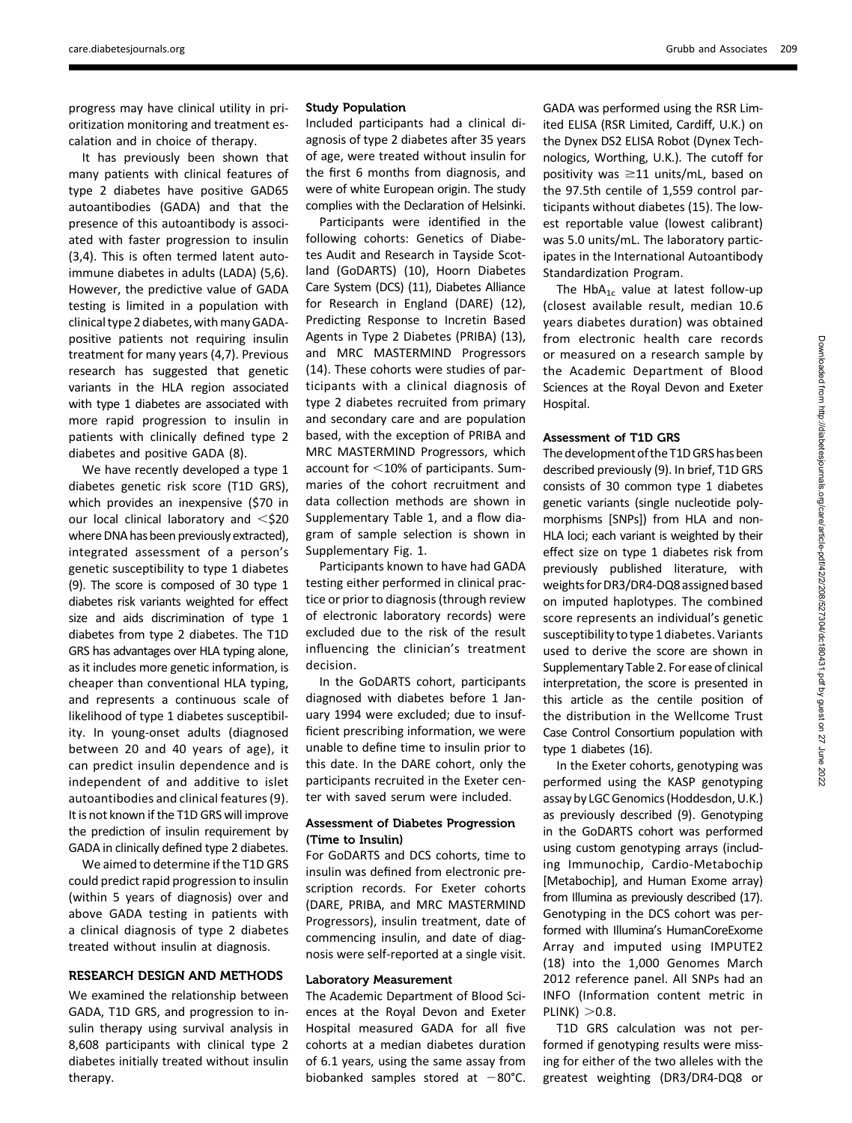progress may have clinical utility in prioritization monitoring and treatment escalation and in choice of therapy.

It has previously been shown that many patients with clinical features of type 2 diabetes have positive GAD65 autoantibodies (GADA) and that the presence of this autoantibody is associated with faster progression to insulin (3,4). This is often termed latent autoimmune diabetes in adults (LADA) (5,6). However, the predictive value of GADA testing is limited in a population with clinical type 2 diabetes, with many GADApositive patients not requiring insulin treatment for many years (4,7). Previous research has suggested that genetic variants in the HLA region associated with type 1 diabetes are associated with more rapid progression to insulin in patients with clinically defined type 2 diabetes and positive GADA (8).

We have recently developed a type 1 diabetes genetic risk score (T1D GRS), which provides an inexpensive (\$70 in our local clinical laboratory and  $<$ \$20 where DNA has been previously extracted), integrated assessment of a person's genetic susceptibility to type 1 diabetes (9). The score is composed of 30 type 1 diabetes risk variants weighted for effect size and aids discrimination of type 1 diabetes from type 2 diabetes. The T1D GRS has advantages over HLA typing alone, as it includes more genetic information, is cheaper than conventional HLA typing, and represents a continuous scale of likelihood of type 1 diabetes susceptibility. In young-onset adults (diagnosed between 20 and 40 years of age), it can predict insulin dependence and is independent of and additive to islet autoantibodies and clinical features (9). It is not known if the T1D GRS will improve the prediction of insulin requirement by GADA in clinically defined type 2 diabetes.

We aimed to determine if the T1D GRS could predict rapid progression to insulin (within 5 years of diagnosis) over and above GADA testing in patients with a clinical diagnosis of type 2 diabetes treated without insulin at diagnosis.

### RESEARCH DESIGN AND METHODS

We examined the relationship between GADA, T1D GRS, and progression to insulin therapy using survival analysis in 8,608 participants with clinical type 2 diabetes initially treated without insulin therapy.

#### Study Population

Included participants had a clinical diagnosis of type 2 diabetes after 35 years of age, were treated without insulin for the first 6 months from diagnosis, and were of white European origin. The study complies with the Declaration of Helsinki.

Participants were identified in the following cohorts: Genetics of Diabetes Audit and Research in Tayside Scotland (GoDARTS) (10), Hoorn Diabetes Care System (DCS) (11), Diabetes Alliance for Research in England (DARE) (12), Predicting Response to Incretin Based Agents in Type 2 Diabetes (PRIBA) (13), and MRC MASTERMIND Progressors (14). These cohorts were studies of participants with a clinical diagnosis of type 2 diabetes recruited from primary and secondary care and are population based, with the exception of PRIBA and MRC MASTERMIND Progressors, which account for  $<$ 10% of participants. Summaries of the cohort recruitment and data collection methods are shown in [Supplementary Table 1,](http://care.diabetesjournals.org/lookup/suppl/doi:10.2337/dc18-0431/-/DC1) and a flow diagram of sample selection is shown in [Supplementary Fig. 1.](http://care.diabetesjournals.org/lookup/suppl/doi:10.2337/dc18-0431/-/DC1)

Participants known to have had GADA testing either performed in clinical practice or prior to diagnosis (through review of electronic laboratory records) were excluded due to the risk of the result influencing the clinician's treatment decision.

In the GoDARTS cohort, participants diagnosed with diabetes before 1 January 1994 were excluded; due to insufficient prescribing information, we were unable to define time to insulin prior to this date. In the DARE cohort, only the participants recruited in the Exeter center with saved serum were included.

## Assessment of Diabetes Progression (Time to Insulin)

For GoDARTS and DCS cohorts, time to insulin was defined from electronic prescription records. For Exeter cohorts (DARE, PRIBA, and MRC MASTERMIND Progressors), insulin treatment, date of commencing insulin, and date of diagnosis were self-reported at a single visit.

#### Laboratory Measurement

The Academic Department of Blood Sciences at the Royal Devon and Exeter Hospital measured GADA for all five cohorts at a median diabetes duration of 6.1 years, using the same assay from biobanked samples stored at  $-80^{\circ}$ C.

GADA was performed using the RSR Limited ELISA (RSR Limited, Cardiff, U.K.) on the Dynex DS2 ELISA Robot (Dynex Technologics, Worthing, U.K.). The cutoff for positivity was  $\geq$ 11 units/mL, based on the 97.5th centile of 1,559 control participants without diabetes (15). The lowest reportable value (lowest calibrant) was 5.0 units/mL. The laboratory participates in the International Autoantibody Standardization Program.

The  $HbA_{1c}$  value at latest follow-up (closest available result, median 10.6 years diabetes duration) was obtained from electronic health care records or measured on a research sample by the Academic Department of Blood Sciences at the Royal Devon and Exeter Hospital.

## Assessment of T1D GRS

The development of the T1D GRS has been described previously (9). In brief, T1D GRS consists of 30 common type 1 diabetes genetic variants (single nucleotide polymorphisms [SNPs]) from HLA and non-HLA loci; each variant is weighted by their effect size on type 1 diabetes risk from previously published literature, with weights forDR3/DR4-DQ8assigned based on imputed haplotypes. The combined score represents an individual's genetic susceptibility to type 1 diabetes. Variants used to derive the score are shown in [Supplementary Table 2](http://care.diabetesjournals.org/lookup/suppl/doi:10.2337/dc18-0431/-/DC1). For ease of clinical interpretation, the score is presented in this article as the centile position of the distribution in the Wellcome Trust Case Control Consortium population with type 1 diabetes (16).

In the Exeter cohorts, genotyping was performed using the KASP genotyping assay by LGC Genomics (Hoddesdon, U.K.) as previously described (9). Genotyping in the GoDARTS cohort was performed using custom genotyping arrays (including Immunochip, Cardio-Metabochip [Metabochip], and Human Exome array) from Illumina as previously described (17). Genotyping in the DCS cohort was performed with Illumina's HumanCoreExome Array and imputed using IMPUTE2 (18) into the 1,000 Genomes March 2012 reference panel. All SNPs had an INFO (Information content metric in  $PLINK$ )  $>0.8$ .

T1D GRS calculation was not performed if genotyping results were missing for either of the two alleles with the greatest weighting (DR3/DR4-DQ8 or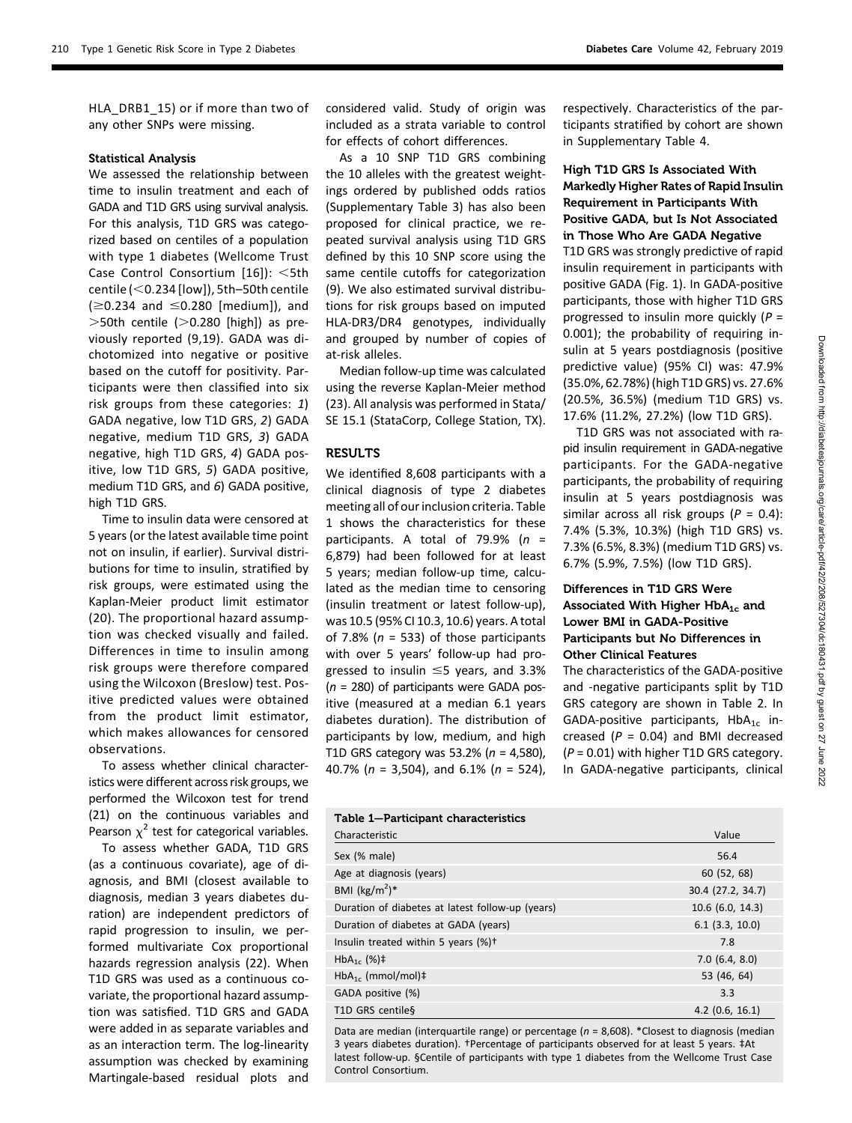HLA DRB1 15) or if more than two of any other SNPs were missing.

#### Statistical Analysis

We assessed the relationship between time to insulin treatment and each of GADA and T1D GRS using survival analysis. For this analysis, T1D GRS was categorized based on centiles of a population with type 1 diabetes (Wellcome Trust Case Control Consortium  $[16]$ : <5th centile ( $<$  0.234 [low]), 5th–50th centile  $( \ge 0.234$  and  $\le 0.280$  [medium]), and  $>$ 50th centile ( $>$ 0.280 [high]) as previously reported (9,19). GADA was dichotomized into negative or positive based on the cutoff for positivity. Participants were then classified into six risk groups from these categories: 1) GADA negative, low T1D GRS, 2) GADA negative, medium T1D GRS, 3) GADA negative, high T1D GRS, 4) GADA positive, low T1D GRS, 5) GADA positive, medium T1D GRS, and 6) GADA positive, high T1D GRS.

Time to insulin data were censored at 5 years (or the latest available time point not on insulin, if earlier). Survival distributions for time to insulin, stratified by risk groups, were estimated using the Kaplan-Meier product limit estimator (20). The proportional hazard assumption was checked visually and failed. Differences in time to insulin among risk groups were therefore compared using the Wilcoxon (Breslow) test. Positive predicted values were obtained from the product limit estimator, which makes allowances for censored observations.

To assess whether clinical characteristics were different across risk groups, we performed the Wilcoxon test for trend (21) on the continuous variables and Pearson  $\chi^2$  test for categorical variables.

To assess whether GADA, T1D GRS (as a continuous covariate), age of diagnosis, and BMI (closest available to diagnosis, median 3 years diabetes duration) are independent predictors of rapid progression to insulin, we performed multivariate Cox proportional hazards regression analysis (22). When T1D GRS was used as a continuous covariate, the proportional hazard assumption was satisfied. T1D GRS and GADA were added in as separate variables and as an interaction term. The log-linearity assumption was checked by examining Martingale-based residual plots and

considered valid. Study of origin was included as a strata variable to control for effects of cohort differences.

As a 10 SNP T1D GRS combining the 10 alleles with the greatest weightings ordered by published odds ratios [\(Supplementary Table 3](http://care.diabetesjournals.org/lookup/suppl/doi:10.2337/dc18-0431/-/DC1)) has also been proposed for clinical practice, we repeated survival analysis using T1D GRS defined by this 10 SNP score using the same centile cutoffs for categorization (9). We also estimated survival distributions for risk groups based on imputed HLA-DR3/DR4 genotypes, individually and grouped by number of copies of at-risk alleles.

Median follow-up time was calculated using the reverse Kaplan-Meier method (23). All analysis was performed in Stata/ SE 15.1 (StataCorp, College Station, TX).

## RESULTS

We identified 8,608 participants with a clinical diagnosis of type 2 diabetes meeting all of our inclusion criteria. Table 1 shows the characteristics for these participants. A total of 79.9%  $(n =$ 6,879) had been followed for at least 5 years; median follow-up time, calculated as the median time to censoring (insulin treatment or latest follow-up), was 10.5 (95% CI 10.3, 10.6) years. A total of 7.8% ( $n = 533$ ) of those participants with over 5 years' follow-up had progressed to insulin  $\leq$ 5 years, and 3.3%  $(n = 280)$  of participants were GADA positive (measured at a median 6.1 years diabetes duration). The distribution of participants by low, medium, and high T1D GRS category was 53.2% ( $n = 4,580$ ), 40.7% ( $n = 3,504$ ), and 6.1% ( $n = 524$ ), respectively. Characteristics of the participants stratified by cohort are shown in [Supplementary Table 4.](http://care.diabetesjournals.org/lookup/suppl/doi:10.2337/dc18-0431/-/DC1)

# High T1D GRS Is Associated With Markedly Higher Rates of Rapid Insulin Requirement in Participants With Positive GADA, but Is Not Associated in Those Who Are GADA Negative

T1D GRS was strongly predictive of rapid insulin requirement in participants with positive GADA (Fig. 1). In GADA-positive participants, those with higher T1D GRS progressed to insulin more quickly ( $P =$ 0.001); the probability of requiring insulin at 5 years postdiagnosis (positive predictive value) (95% CI) was: 47.9% (35.0%, 62.78%) (high T1D GRS) vs. 27.6% (20.5%, 36.5%) (medium T1D GRS) vs. 17.6% (11.2%, 27.2%) (low T1D GRS).

T1D GRS was not associated with rapid insulin requirement in GADA-negative participants. For the GADA-negative participants, the probability of requiring insulin at 5 years postdiagnosis was similar across all risk groups ( $P = 0.4$ ): 7.4% (5.3%, 10.3%) (high T1D GRS) vs. 7.3% (6.5%, 8.3%) (medium T1D GRS) vs. 6.7% (5.9%, 7.5%) (low T1D GRS).

# Differences in T1D GRS Were Associated With Higher  $HbA_{1c}$  and Lower BMI in GADA-Positive Participants but No Differences in Other Clinical Features

The characteristics of the GADA-positive and -negative participants split by T1D GRS category are shown in Table 2. In GADA-positive participants,  $HbA_{1c}$  increased ( $P = 0.04$ ) and BMI decreased  $(P = 0.01)$  with higher T1D GRS category. In GADA-negative participants, clinical

# Table 1—Participant characteristics Characteristic Value Sex (% male) 56.4 Age at diagnosis (years) 60 (52, 68) BMI  $(kg/m<sup>2</sup>)*$ )\* 30.4 (27.2, 34.7) Duration of diabetes at latest follow-up (years) 10.6 (6.0, 14.3) Duration of diabetes at GADA (years) 6.1 (3.3, 10.0) Insulin treated within 5 years (%)<sup>†</sup> 7.8  $HbA_{1c}$  (%)‡ 7.0 (6.4, 8.0)  $HbA_{1c}$  (mmol/mol) $\ddagger$  53 (46, 64) GADA positive (%) 3.3 T1D GRS centile§ 4.2 (0.6, 16.1)

Data are median (interquartile range) or percentage ( $n = 8,608$ ). \*Closest to diagnosis (median 3 years diabetes duration). †Percentage of participants observed for at least 5 years. ‡At latest follow-up. §Centile of participants with type 1 diabetes from the Wellcome Trust Case Control Consortium.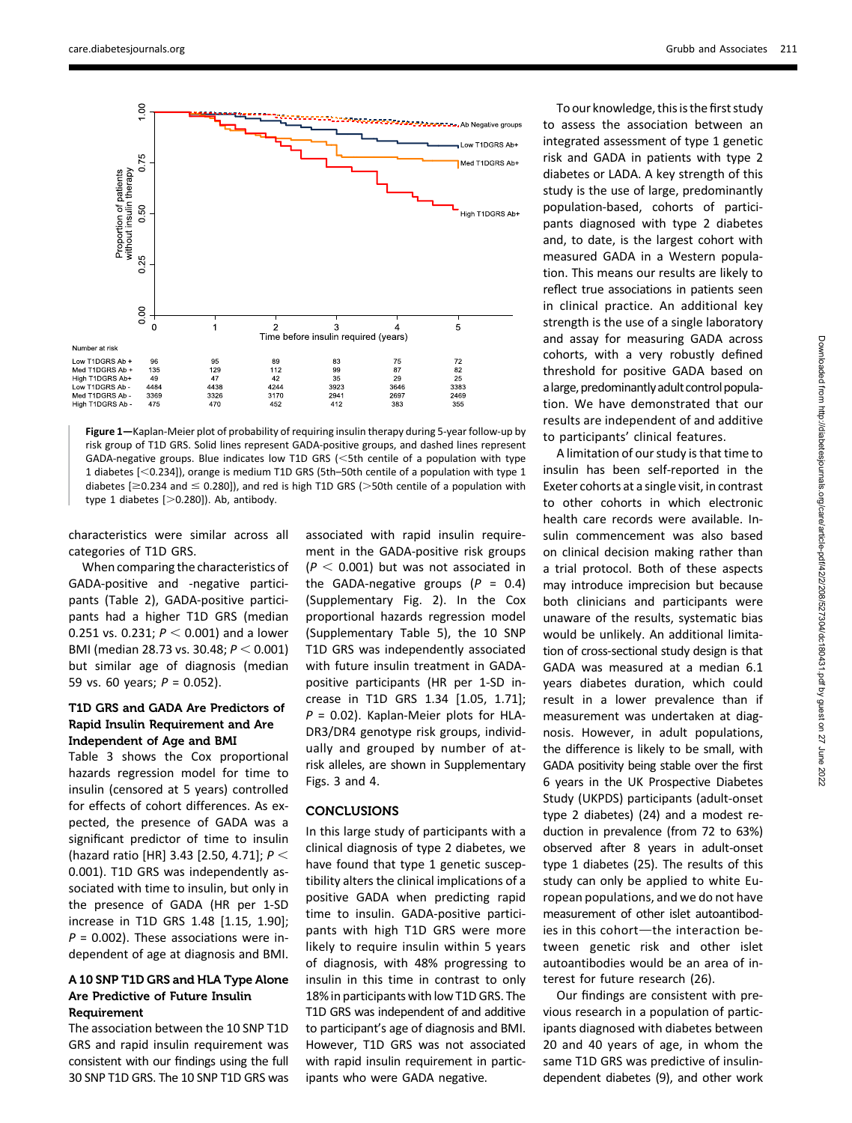

Figure 1—Kaplan-Meier plot of probability of requiring insulin therapy during 5-year follow-up by risk group of T1D GRS. Solid lines represent GADA-positive groups, and dashed lines represent GADA-negative groups. Blue indicates low T1D GRS ( $<$ 5th centile of a population with type 1 diabetes  $[<0.234]$ ), orange is medium T1D GRS (5th–50th centile of a population with type 1 diabetes [ $\geq$ 0.234 and  $\leq$  0.280]), and red is high T1D GRS ( $>$ 50th centile of a population with type 1 diabetes  $[>0.280]$ ). Ab, antibody.

characteristics were similar across all categories of T1D GRS.

When comparing the characteristics of GADA-positive and -negative participants (Table 2), GADA-positive participants had a higher T1D GRS (median 0.251 vs. 0.231;  $P < 0.001$ ) and a lower BMI (median 28.73 vs. 30.48;  $P < 0.001$ ) but similar age of diagnosis (median 59 vs. 60 years;  $P = 0.052$ ).

## T1D GRS and GADA Are Predictors of Rapid Insulin Requirement and Are Independent of Age and BMI

Table 3 shows the Cox proportional hazards regression model for time to insulin (censored at 5 years) controlled for effects of cohort differences. As expected, the presence of GADA was a significant predictor of time to insulin (hazard ratio [HR] 3.43 [2.50, 4.71];  $P <$ 0.001). T1D GRS was independently associated with time to insulin, but only in the presence of GADA (HR per 1-SD increase in T1D GRS 1.48 [1.15, 1.90];  $P = 0.002$ ). These associations were independent of age at diagnosis and BMI.

## A 10 SNP T1D GRS and HLA Type Alone Are Predictive of Future Insulin Requirement

The association between the 10 SNP T1D GRS and rapid insulin requirement was consistent with our findings using the full 30 SNP T1D GRS. The 10 SNP T1D GRS was associated with rapid insulin requirement in the GADA-positive risk groups  $(P < 0.001)$  but was not associated in the GADA-negative groups  $(P = 0.4)$ [\(Supplementary Fig. 2](http://care.diabetesjournals.org/lookup/suppl/doi:10.2337/dc18-0431/-/DC1)). In the Cox proportional hazards regression model [\(Supplementary Table 5](http://care.diabetesjournals.org/lookup/suppl/doi:10.2337/dc18-0431/-/DC1)), the 10 SNP T1D GRS was independently associated with future insulin treatment in GADApositive participants (HR per 1-SD increase in T1D GRS 1.34 [1.05, 1.71];  $P = 0.02$ ). Kaplan-Meier plots for HLA-DR3/DR4 genotype risk groups, individually and grouped by number of atrisk alleles, are shown in [Supplementary](http://care.diabetesjournals.org/lookup/suppl/doi:10.2337/dc18-0431/-/DC1) [Figs. 3](http://care.diabetesjournals.org/lookup/suppl/doi:10.2337/dc18-0431/-/DC1) and [4](http://care.diabetesjournals.org/lookup/suppl/doi:10.2337/dc18-0431/-/DC1).

# CONCLUSIONS

In this large study of participants with a clinical diagnosis of type 2 diabetes, we have found that type 1 genetic susceptibility alters the clinical implications of a positive GADA when predicting rapid time to insulin. GADA-positive participants with high T1D GRS were more likely to require insulin within 5 years of diagnosis, with 48% progressing to insulin in this time in contrast to only 18% in participants with low T1D GRS. The T1D GRS was independent of and additive to participant's age of diagnosis and BMI. However, T1D GRS was not associated with rapid insulin requirement in participants who were GADA negative.

To our knowledge, this is the first study to assess the association between an integrated assessment of type 1 genetic risk and GADA in patients with type 2 diabetes or LADA. A key strength of this study is the use of large, predominantly population-based, cohorts of participants diagnosed with type 2 diabetes and, to date, is the largest cohort with measured GADA in a Western population. This means our results are likely to reflect true associations in patients seen in clinical practice. An additional key strength is the use of a single laboratory and assay for measuring GADA across cohorts, with a very robustly defined threshold for positive GADA based on alarge, predominantlyadult control population. We have demonstrated that our results are independent of and additive to participants' clinical features.

A limitation of our study is that time to insulin has been self-reported in the Exeter cohorts at a single visit, in contrast to other cohorts in which electronic health care records were available. Insulin commencement was also based on clinical decision making rather than a trial protocol. Both of these aspects may introduce imprecision but because both clinicians and participants were unaware of the results, systematic bias would be unlikely. An additional limitation of cross-sectional study design is that GADA was measured at a median 6.1 years diabetes duration, which could result in a lower prevalence than if measurement was undertaken at diagnosis. However, in adult populations, the difference is likely to be small, with GADA positivity being stable over the first 6 years in the UK Prospective Diabetes Study (UKPDS) participants (adult-onset type 2 diabetes) (24) and a modest reduction in prevalence (from 72 to 63%) observed after 8 years in adult-onset type 1 diabetes (25). The results of this study can only be applied to white European populations, and we do not have measurement of other islet autoantibodies in this cohort-the interaction between genetic risk and other islet autoantibodies would be an area of interest for future research (26).

Our findings are consistent with previous research in a population of participants diagnosed with diabetes between 20 and 40 years of age, in whom the same T1D GRS was predictive of insulindependent diabetes (9), and other work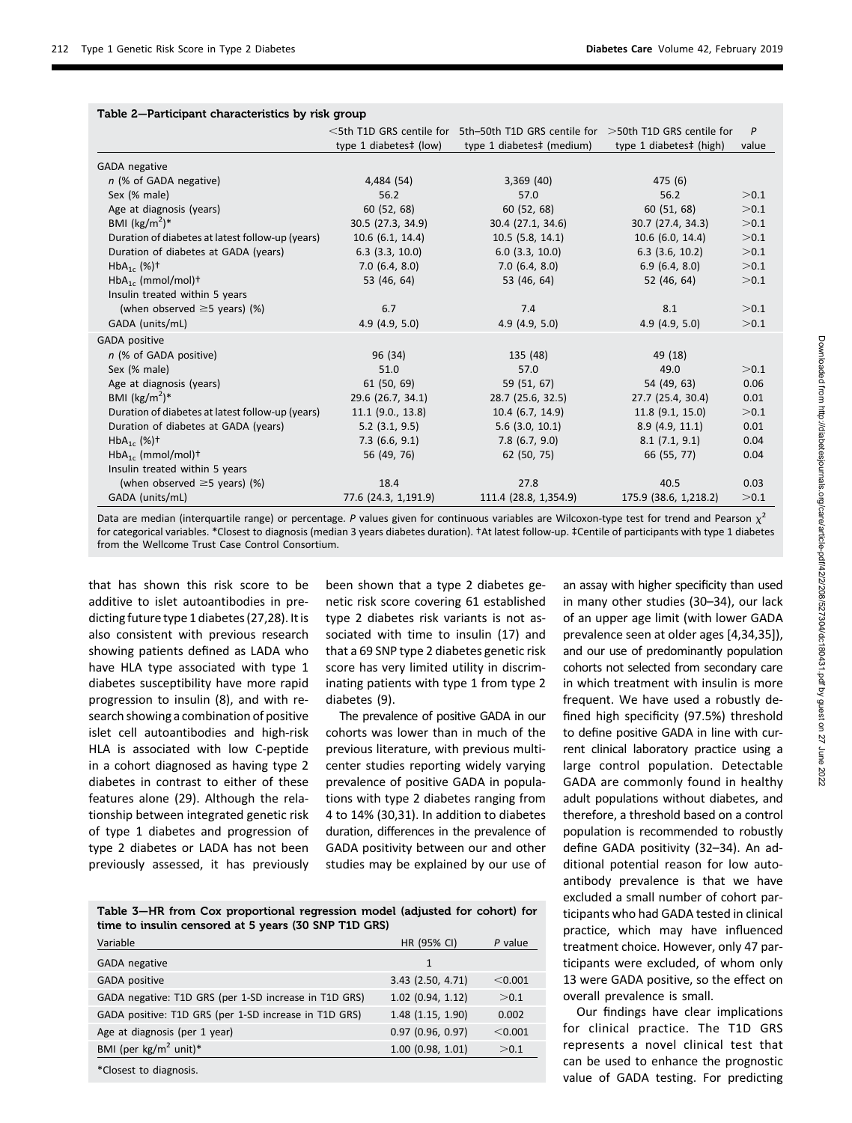|                                                  |                        | $\le$ 5th T1D GRS centile for 5th–50th T1D GRS centile for $>$ 50th T1D GRS centile for |                         | P     |
|--------------------------------------------------|------------------------|-----------------------------------------------------------------------------------------|-------------------------|-------|
|                                                  | type 1 diabetes‡ (low) | type 1 diabetes‡ (medium)                                                               | type 1 diabetes‡ (high) | value |
| GADA negative                                    |                        |                                                                                         |                         |       |
| n (% of GADA negative)                           | 4,484 (54)             | 3,369(40)                                                                               | 475(6)                  |       |
| Sex (% male)                                     | 56.2                   | 57.0                                                                                    | 56.2                    | >0.1  |
| Age at diagnosis (years)                         | 60 (52, 68)            | 60 (52, 68)                                                                             | 60 (51, 68)             | >0.1  |
| BMI $(kg/m2)*$                                   | 30.5 (27.3, 34.9)      | 30.4 (27.1, 34.6)                                                                       | 30.7 (27.4, 34.3)       | >0.1  |
| Duration of diabetes at latest follow-up (years) | 10.6 (6.1, 14.4)       | $10.5$ (5.8, 14.1)                                                                      | $10.6$ (6.0, 14.4)      | >0.1  |
| Duration of diabetes at GADA (years)             | $6.3$ (3.3, 10.0)      | $6.0$ (3.3, 10.0)                                                                       | $6.3$ (3.6, 10.2)       | >0.1  |
| $HbA_{1c}$ (%) <sup>+</sup>                      | 7.0(6.4, 8.0)          | 7.0(6.4, 8.0)                                                                           | 6.9(6.4, 8.0)           | >0.1  |
| $HbA_{1c}$ (mmol/mol) <sup>+</sup>               | 53 (46, 64)            | 53 (46, 64)                                                                             | 52 (46, 64)             | >0.1  |
| Insulin treated within 5 years                   |                        |                                                                                         |                         |       |
| (when observed $\geq$ 5 years) (%)               | 6.7                    | 7.4                                                                                     | 8.1                     | >0.1  |
| GADA (units/mL)                                  | 4.9(4.9, 5.0)          | 4.9(4.9, 5.0)                                                                           | 4.9(4.9, 5.0)           | >0.1  |
| <b>GADA</b> positive                             |                        |                                                                                         |                         |       |
| n (% of GADA positive)                           | 96 (34)                | 135 (48)                                                                                | 49 (18)                 |       |
| Sex (% male)                                     | 51.0                   | 57.0                                                                                    | 49.0                    | >0.1  |
| Age at diagnosis (years)                         | 61 (50, 69)            | 59 (51, 67)                                                                             | 54 (49, 63)             | 0.06  |
| BMI $(kg/m2)*$                                   | 29.6 (26.7, 34.1)      | 28.7 (25.6, 32.5)                                                                       | 27.7 (25.4, 30.4)       | 0.01  |
| Duration of diabetes at latest follow-up (years) | $11.1$ (9.0., 13.8)    | 10.4 (6.7, 14.9)                                                                        | $11.8$ (9.1, 15.0)      | >0.1  |
| Duration of diabetes at GADA (years)             | $5.2$ (3.1, 9.5)       | $5.6$ (3.0, 10.1)                                                                       | 8.9(4.9, 11.1)          | 0.01  |
| $HbA_{1c}$ (%) <sup>+</sup>                      | 7.3(6.6, 9.1)          | $7.8$ (6.7, 9.0)                                                                        | 8.1(7.1, 9.1)           | 0.04  |
| $HbA_{1c}$ (mmol/mol) <sup>+</sup>               | 56 (49, 76)            | 62 (50, 75)                                                                             | 66 (55, 77)             | 0.04  |
| Insulin treated within 5 years                   |                        |                                                                                         |                         |       |
| (when observed $\geq$ 5 years) (%)               | 18.4                   | 27.8                                                                                    | 40.5                    | 0.03  |
| GADA (units/mL)                                  | 77.6 (24.3, 1,191.9)   | 111.4 (28.8, 1,354.9)                                                                   | 175.9 (38.6, 1,218.2)   | >0.1  |

# Table 2—Participant characteristics by risk group

Data are median (interquartile range) or percentage. P values given for continuous variables are Wilcoxon-type test for trend and Pearson  $\chi^2$ for categorical variables. \*Closest to diagnosis (median 3 years diabetes duration). †At latest follow-up. ‡Centile of participants with type 1 diabetes from the Wellcome Trust Case Control Consortium.

that has shown this risk score to be additive to islet autoantibodies in predicting future type 1 diabetes (27,28). It is also consistent with previous research showing patients defined as LADA who have HLA type associated with type 1 diabetes susceptibility have more rapid progression to insulin (8), and with research showing a combination of positive islet cell autoantibodies and high-risk HLA is associated with low C-peptide in a cohort diagnosed as having type 2 diabetes in contrast to either of these features alone (29). Although the relationship between integrated genetic risk of type 1 diabetes and progression of type 2 diabetes or LADA has not been previously assessed, it has previously

been shown that a type 2 diabetes genetic risk score covering 61 established type 2 diabetes risk variants is not associated with time to insulin (17) and that a 69 SNP type 2 diabetes genetic risk score has very limited utility in discriminating patients with type 1 from type 2 diabetes (9).

The prevalence of positive GADA in our cohorts was lower than in much of the previous literature, with previous multicenter studies reporting widely varying prevalence of positive GADA in populations with type 2 diabetes ranging from 4 to 14% (30,31). In addition to diabetes duration, differences in the prevalence of GADA positivity between our and other studies may be explained by our use of

Table 3—HR from Cox proportional regression model (adjusted for cohort) for time to insulin censored at 5 years (30 SNP T1D GRS)

| Variable                                              | HR (95% CI)            | P value |
|-------------------------------------------------------|------------------------|---------|
| <b>GADA</b> negative                                  | 1                      |         |
| <b>GADA</b> positive                                  | 3.43 (2.50, 4.71)      | < 0.001 |
| GADA negative: T1D GRS (per 1-SD increase in T1D GRS) | $1.02$ (0.94, 1.12)    | > 0.1   |
| GADA positive: T1D GRS (per 1-SD increase in T1D GRS) | $1.48$ (1.15, 1.90)    | 0.002   |
| Age at diagnosis (per 1 year)                         | $0.97$ (0.96, 0.97)    | < 0.001 |
| BMI (per kg/m <sup>2</sup> unit)*                     | $1.00$ (0.98, $1.01$ ) | > 0.1   |
| *Closest to diagnosis.                                |                        |         |

an assay with higher specificity than used in many other studies (30–34), our lack of an upper age limit (with lower GADA prevalence seen at older ages [4,34,35]), and our use of predominantly population cohorts not selected from secondary care in which treatment with insulin is more frequent. We have used a robustly defined high specificity (97.5%) threshold to define positive GADA in line with current clinical laboratory practice using a large control population. Detectable GADA are commonly found in healthy adult populations without diabetes, and therefore, a threshold based on a control population is recommended to robustly define GADA positivity (32–34). An additional potential reason for low autoantibody prevalence is that we have excluded a small number of cohort participants who had GADA tested in clinical practice, which may have influenced treatment choice. However, only 47 participants were excluded, of whom only 13 were GADA positive, so the effect on overall prevalence is small.

Our findings have clear implications for clinical practice. The T1D GRS represents a novel clinical test that can be used to enhance the prognostic value of GADA testing. For predicting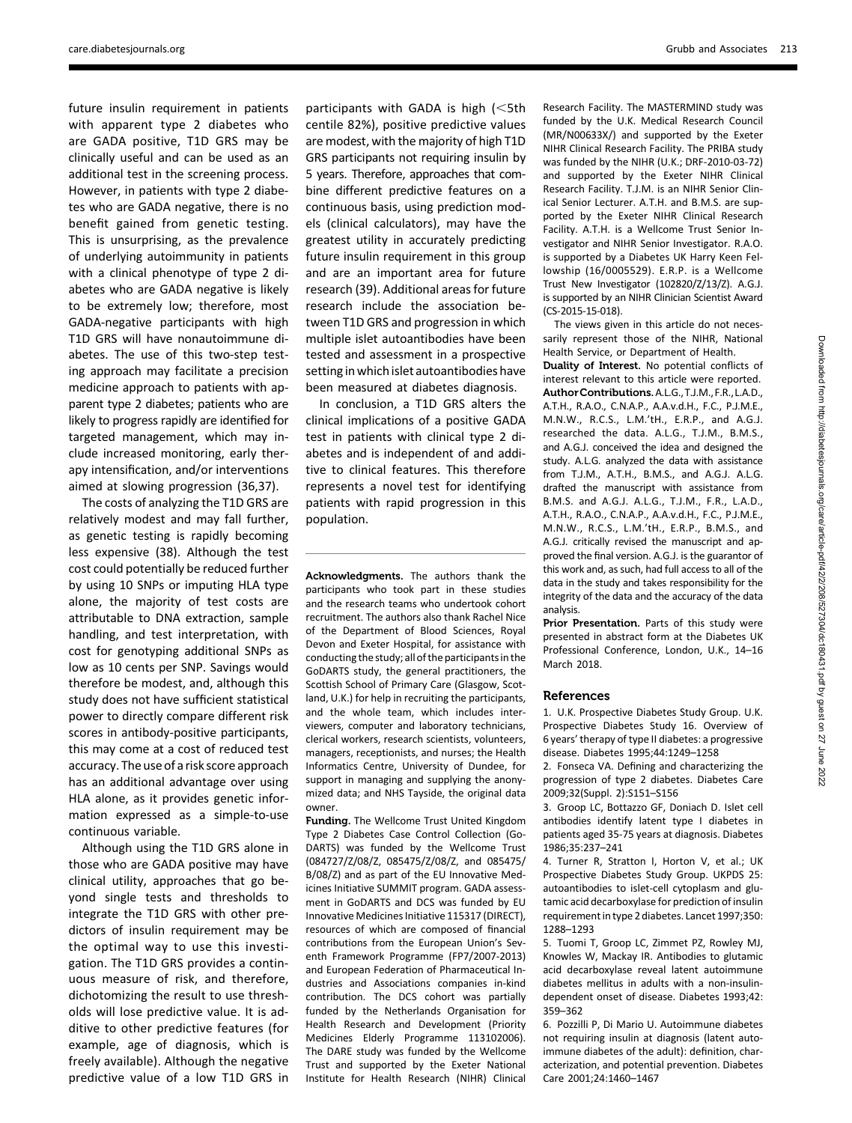[care.diabetesjournals.org](http://care.diabetesjournals.org) Grubb and Associates 213

future insulin requirement in patients with apparent type 2 diabetes who are GADA positive, T1D GRS may be clinically useful and can be used as an additional test in the screening process. However, in patients with type 2 diabetes who are GADA negative, there is no benefit gained from genetic testing. This is unsurprising, as the prevalence of underlying autoimmunity in patients with a clinical phenotype of type 2 diabetes who are GADA negative is likely to be extremely low; therefore, most GADA-negative participants with high T1D GRS will have nonautoimmune diabetes. The use of this two-step testing approach may facilitate a precision medicine approach to patients with apparent type 2 diabetes; patients who are likely to progress rapidly are identified for targeted management, which may include increased monitoring, early therapy intensification, and/or interventions aimed at slowing progression (36,37).

The costs of analyzing the T1D GRS are relatively modest and may fall further, as genetic testing is rapidly becoming less expensive (38). Although the test cost could potentially be reduced further by using 10 SNPs or imputing HLA type alone, the majority of test costs are attributable to DNA extraction, sample handling, and test interpretation, with cost for genotyping additional SNPs as low as 10 cents per SNP. Savings would therefore be modest, and, although this study does not have sufficient statistical power to directly compare different risk scores in antibody-positive participants, this may come at a cost of reduced test accuracy. The use of a risk score approach has an additional advantage over using HLA alone, as it provides genetic information expressed as a simple-to-use continuous variable.

Although using the T1D GRS alone in those who are GADA positive may have clinical utility, approaches that go beyond single tests and thresholds to integrate the T1D GRS with other predictors of insulin requirement may be the optimal way to use this investigation. The T1D GRS provides a continuous measure of risk, and therefore, dichotomizing the result to use thresholds will lose predictive value. It is additive to other predictive features (for example, age of diagnosis, which is freely available). Although the negative predictive value of a low T1D GRS in

participants with GADA is high  $\leq$ 5th centile 82%), positive predictive values are modest, with the majority of high T1D GRS participants not requiring insulin by 5 years. Therefore, approaches that combine different predictive features on a continuous basis, using prediction models (clinical calculators), may have the greatest utility in accurately predicting future insulin requirement in this group and are an important area for future research (39). Additional areas for future research include the association between T1D GRS and progression in which multiple islet autoantibodies have been tested and assessment in a prospective setting in which islet autoantibodies have been measured at diabetes diagnosis.

In conclusion, a T1D GRS alters the clinical implications of a positive GADA test in patients with clinical type 2 diabetes and is independent of and additive to clinical features. This therefore represents a novel test for identifying patients with rapid progression in this population.

Acknowledgments. The authors thank the participants who took part in these studies and the research teams who undertook cohort recruitment. The authors also thank Rachel Nice of the Department of Blood Sciences, Royal Devon and Exeter Hospital, for assistance with conducting the study; all of the participants in the GoDARTS study, the general practitioners, the Scottish School of Primary Care (Glasgow, Scotland, U.K.) for help in recruiting the participants, and the whole team, which includes interviewers, computer and laboratory technicians, clerical workers, research scientists, volunteers, managers, receptionists, and nurses; the Health Informatics Centre, University of Dundee, for support in managing and supplying the anonymized data; and NHS Tayside, the original data owner.

Funding. The Wellcome Trust United Kingdom Type 2 Diabetes Case Control Collection (Go-DARTS) was funded by the Wellcome Trust (084727/Z/08/Z, 085475/Z/08/Z, and 085475/ B/08/Z) and as part of the EU Innovative Medicines Initiative SUMMIT program. GADA assessment in GoDARTS and DCS was funded by EU Innovative Medicines Initiative 115317 (DIRECT), resources of which are composed of financial contributions from the European Union's Seventh Framework Programme (FP7/2007-2013) and European Federation of Pharmaceutical Industries and Associations companies in-kind contribution. The DCS cohort was partially funded by the Netherlands Organisation for Health Research and Development (Priority Medicines Elderly Programme 113102006). The DARE study was funded by the Wellcome Trust and supported by the Exeter National Institute for Health Research (NIHR) Clinical Research Facility. The MASTERMIND study was funded by the U.K. Medical Research Council (MR/N00633X/) and supported by the Exeter NIHR Clinical Research Facility. The PRIBA study was funded by the NIHR (U.K.; DRF-2010-03-72) and supported by the Exeter NIHR Clinical Research Facility. T.J.M. is an NIHR Senior Clinical Senior Lecturer. A.T.H. and B.M.S. are supported by the Exeter NIHR Clinical Research Facility. A.T.H. is a Wellcome Trust Senior Investigator and NIHR Senior Investigator. R.A.O. is supported by a Diabetes UK Harry Keen Fellowship (16/0005529). E.R.P. is a Wellcome Trust New Investigator (102820/Z/13/Z). A.G.J. is supported by an NIHR Clinician Scientist Award (CS-2015-15-018).

The views given in this article do not necessarily represent those of the NIHR, National Health Service, or Department of Health. Duality of Interest. No potential conflicts of interest relevant to this article were reported. AuthorContributions.A.L.G.,T.J.M.,F.R.,L.A.D., A.T.H., R.A.O., C.N.A.P., A.A.v.d.H., F.C., P.J.M.E., M.N.W., R.C.S., L.M.'tH., E.R.P., and A.G.J. researched the data. A.L.G., T.J.M., B.M.S., and A.G.J. conceived the idea and designed the study. A.L.G. analyzed the data with assistance from T.J.M., A.T.H., B.M.S., and A.G.J. A.L.G. drafted the manuscript with assistance from B.M.S. and A.G.J. A.L.G., T.J.M., F.R., L.A.D., A.T.H., R.A.O., C.N.A.P., A.A.v.d.H., F.C., P.J.M.E., M.N.W., R.C.S., L.M.'tH., E.R.P., B.M.S., and A.G.J. critically revised the manuscript and approved the final version. A.G.J. is the guarantor of this work and, as such, had full access to all of the data in the study and takes responsibility for the integrity of the data and the accuracy of the data analysis.

Prior Presentation. Parts of this study were presented in abstract form at the Diabetes UK Professional Conference, London, U.K., 14–16 March 2018.

#### References

1. U.K. Prospective Diabetes Study Group. U.K. Prospective Diabetes Study 16. Overview of 6 years' therapy of type II diabetes: a progressive disease. Diabetes 1995;44:1249–1258

2. Fonseca VA. Defining and characterizing the progression of type 2 diabetes. Diabetes Care 2009;32(Suppl. 2):S151–S156

3. Groop LC, Bottazzo GF, Doniach D. Islet cell antibodies identify latent type I diabetes in patients aged 35-75 years at diagnosis. Diabetes 1986;35:237–241

4. Turner R, Stratton I, Horton V, et al.; UK Prospective Diabetes Study Group. UKPDS 25: autoantibodies to islet-cell cytoplasm and glutamic acid decarboxylase for prediction of insulin requirement in type 2 diabetes. Lancet 1997;350: 1288–1293

5. Tuomi T, Groop LC, Zimmet PZ, Rowley MJ, Knowles W, Mackay IR. Antibodies to glutamic acid decarboxylase reveal latent autoimmune diabetes mellitus in adults with a non-insulindependent onset of disease. Diabetes 1993;42: 359–362

6. Pozzilli P, Di Mario U. Autoimmune diabetes not requiring insulin at diagnosis (latent autoimmune diabetes of the adult): definition, characterization, and potential prevention. Diabetes Care 2001;24:1460–1467